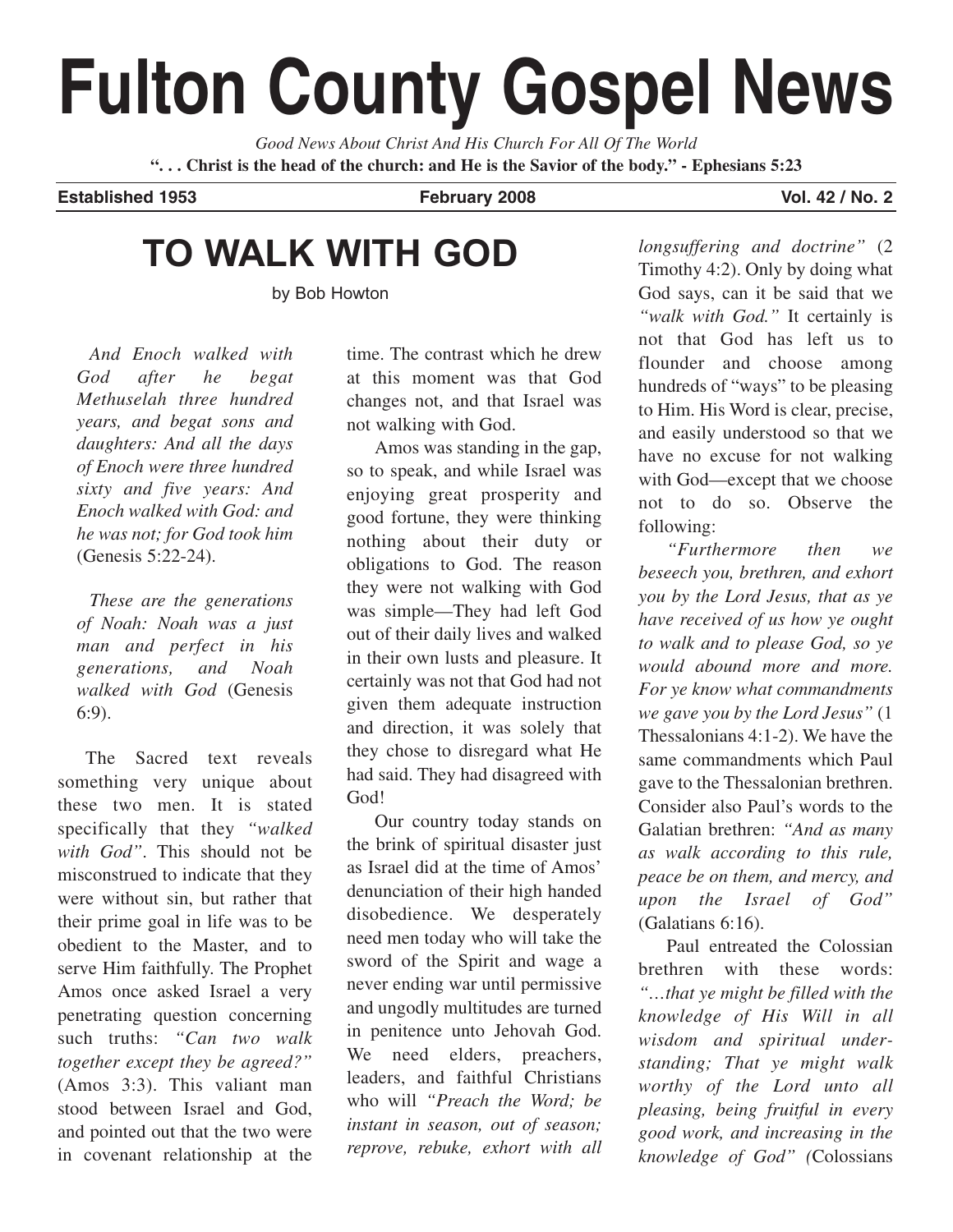# **Fulton County Gospel News**

*Good News About Christ And His Church For All Of The World* **". . . Christ is the head of the church: and He is the Savior of the body." - Ephesians 5:23**

**Established 1953 February 2008 Vol. 42 / No. 2**

# **TO WALK WITH GOD**

by Bob Howton

*And Enoch walked with God after he begat Methuselah three hundred years, and begat sons and daughters: And all the days of Enoch were three hundred sixty and five years: And Enoch walked with God: and he was not; for God took him* (Genesis 5:22-24).

*These are the generations of Noah: Noah was a just man and perfect in his generations, and Noah walked with God* (Genesis 6:9).

The Sacred text reveals something very unique about these two men. It is stated specifically that they *"walked with God"*. This should not be misconstrued to indicate that they were without sin, but rather that their prime goal in life was to be obedient to the Master, and to serve Him faithfully. The Prophet Amos once asked Israel a very penetrating question concerning such truths: *"Can two walk together except they be agreed?"* (Amos 3:3). This valiant man stood between Israel and God, and pointed out that the two were in covenant relationship at the

time. The contrast which he drew at this moment was that God changes not, and that Israel was not walking with God.

Amos was standing in the gap, so to speak, and while Israel was enjoying great prosperity and good fortune, they were thinking nothing about their duty or obligations to God. The reason they were not walking with God was simple—They had left God out of their daily lives and walked in their own lusts and pleasure. It certainly was not that God had not given them adequate instruction and direction, it was solely that they chose to disregard what He had said. They had disagreed with God!

Our country today stands on the brink of spiritual disaster just as Israel did at the time of Amos' denunciation of their high handed disobedience. We desperately need men today who will take the sword of the Spirit and wage a never ending war until permissive and ungodly multitudes are turned in penitence unto Jehovah God. We need elders, preachers, leaders, and faithful Christians who will *"Preach the Word; be instant in season, out of season; reprove, rebuke, exhort with all*

*longsuffering and doctrine"* (2 Timothy 4:2). Only by doing what God says, can it be said that we *"walk with God."* It certainly is not that God has left us to flounder and choose among hundreds of "ways" to be pleasing to Him. His Word is clear, precise, and easily understood so that we have no excuse for not walking with God—except that we choose not to do so. Observe the following:

*"Furthermore then we beseech you, brethren, and exhort you by the Lord Jesus, that as ye have received of us how ye ought to walk and to please God, so ye would abound more and more. For ye know what commandments we gave you by the Lord Jesus"* (1 Thessalonians 4:1-2). We have the same commandments which Paul gave to the Thessalonian brethren. Consider also Paul's words to the Galatian brethren: *"And as many as walk according to this rule, peace be on them, and mercy, and upon the Israel of God"* (Galatians 6:16).

Paul entreated the Colossian brethren with these words: *"…that ye might be filled with the knowledge of His Will in all wisdom and spiritual understanding; That ye might walk worthy of the Lord unto all pleasing, being fruitful in every good work, and increasing in the knowledge of God" (*Colossians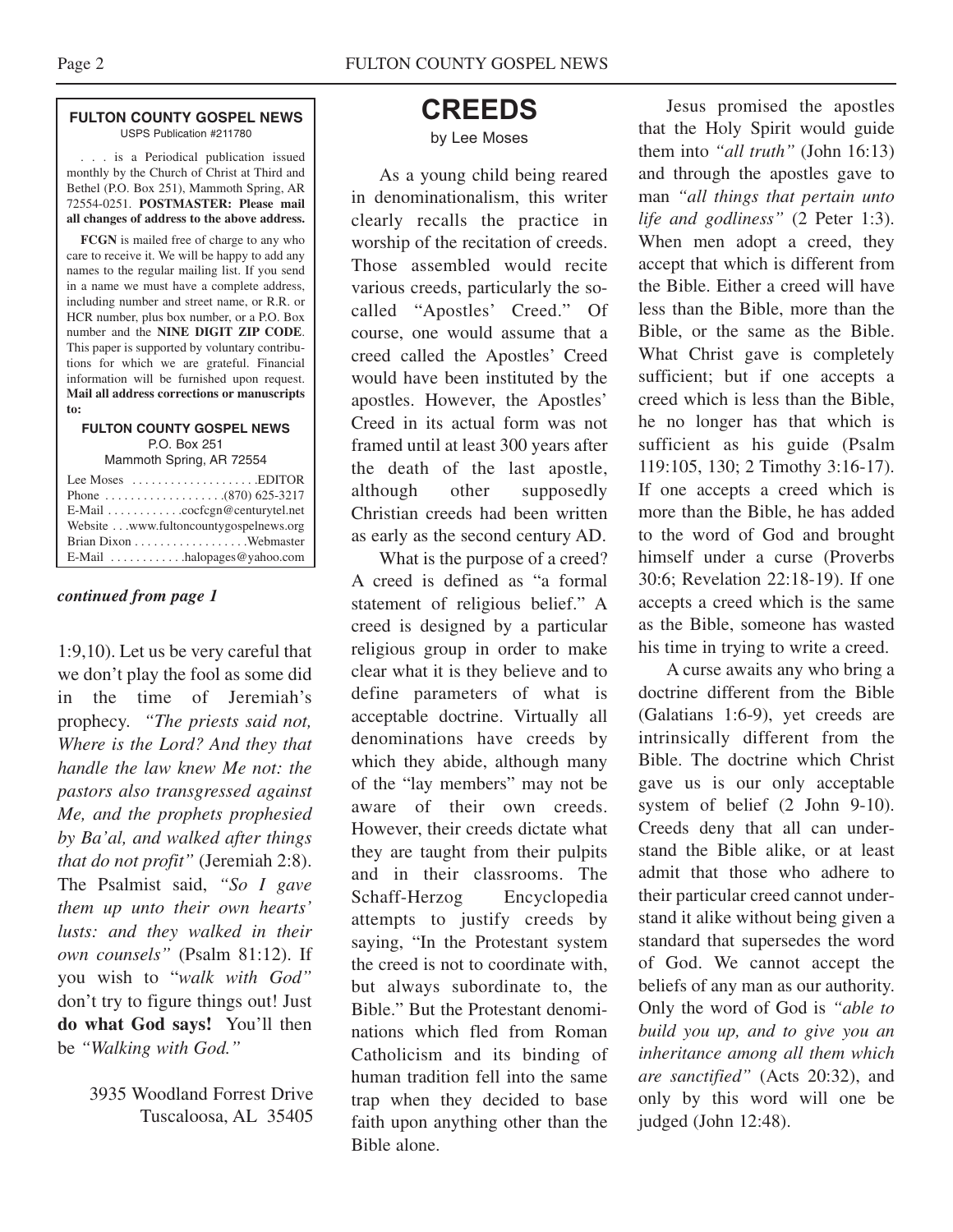#### **FULTON COUNTY GOSPEL NEWS** USPS Publication #211780

. . . is a Periodical publication issued monthly by the Church of Christ at Third and Bethel (P.O. Box 251), Mammoth Spring, AR 72554-0251. **POSTMASTER: Please mail all changes of address to the above address.**

**FCGN** is mailed free of charge to any who care to receive it. We will be happy to add any names to the regular mailing list. If you send in a name we must have a complete address, including number and street name, or R.R. or HCR number, plus box number, or a P.O. Box number and the **NINE DIGIT ZIP CODE**. This paper is supported by voluntary contributions for which we are grateful. Financial information will be furnished upon request. **Mail all address corrections or manuscripts to:**

#### **FULTON COUNTY GOSPEL NEWS** P.O. Box 251

Mammoth Spring, AR 72554

| Lee Moses $\dots\dots\dots\dots\dots\dots$ . EDITOR |
|-----------------------------------------------------|
|                                                     |
| E-Mail cocfcgn@centurytel.net                       |
| Website www.fultoncountygospelnews.org              |
|                                                     |
|                                                     |

#### *continued from page 1*

1:9,10). Let us be very careful that we don't play the fool as some did in the time of Jeremiah's prophecy. *"The priests said not, Where is the Lord? And they that handle the law knew Me not: the pastors also transgressed against Me, and the prophets prophesied by Ba'al, and walked after things that do not profit"* (Jeremiah 2:8). The Psalmist said, *"So I gave them up unto their own hearts' lusts: and they walked in their own counsels"* (Psalm 81:12). If you wish to "*walk with God"* don't try to figure things out! Just **do what God says!** You'll then be *"Walking with God."*

> 3935 Woodland Forrest Drive Tuscaloosa, AL 35405

## **CREEDS**

#### by Lee Moses

As a young child being reared in denominationalism, this writer clearly recalls the practice in worship of the recitation of creeds. Those assembled would recite various creeds, particularly the socalled "Apostles' Creed." Of course, one would assume that a creed called the Apostles' Creed would have been instituted by the apostles. However, the Apostles' Creed in its actual form was not framed until at least 300 years after the death of the last apostle, although other supposedly Christian creeds had been written as early as the second century AD.

What is the purpose of a creed? A creed is defined as "a formal statement of religious belief." A creed is designed by a particular religious group in order to make clear what it is they believe and to define parameters of what is acceptable doctrine. Virtually all denominations have creeds by which they abide, although many of the "lay members" may not be aware of their own creeds. However, their creeds dictate what they are taught from their pulpits and in their classrooms. The Schaff-Herzog Encyclopedia attempts to justify creeds by saying, "In the Protestant system the creed is not to coordinate with, but always subordinate to, the Bible." But the Protestant denominations which fled from Roman Catholicism and its binding of human tradition fell into the same trap when they decided to base faith upon anything other than the Bible alone.

Jesus promised the apostles that the Holy Spirit would guide them into *"all truth"* (John 16:13) and through the apostles gave to man *"all things that pertain unto life and godliness"* (2 Peter 1:3). When men adopt a creed, they accept that which is different from the Bible. Either a creed will have less than the Bible, more than the Bible, or the same as the Bible. What Christ gave is completely sufficient; but if one accepts a creed which is less than the Bible, he no longer has that which is sufficient as his guide (Psalm 119:105, 130; 2 Timothy 3:16-17). If one accepts a creed which is more than the Bible, he has added to the word of God and brought himself under a curse (Proverbs 30:6; Revelation 22:18-19). If one accepts a creed which is the same as the Bible, someone has wasted his time in trying to write a creed.

A curse awaits any who bring a doctrine different from the Bible (Galatians 1:6-9), yet creeds are intrinsically different from the Bible. The doctrine which Christ gave us is our only acceptable system of belief (2 John 9-10). Creeds deny that all can understand the Bible alike, or at least admit that those who adhere to their particular creed cannot understand it alike without being given a standard that supersedes the word of God. We cannot accept the beliefs of any man as our authority. Only the word of God is *"able to build you up, and to give you an inheritance among all them which are sanctified"* (Acts 20:32), and only by this word will one be judged (John 12:48).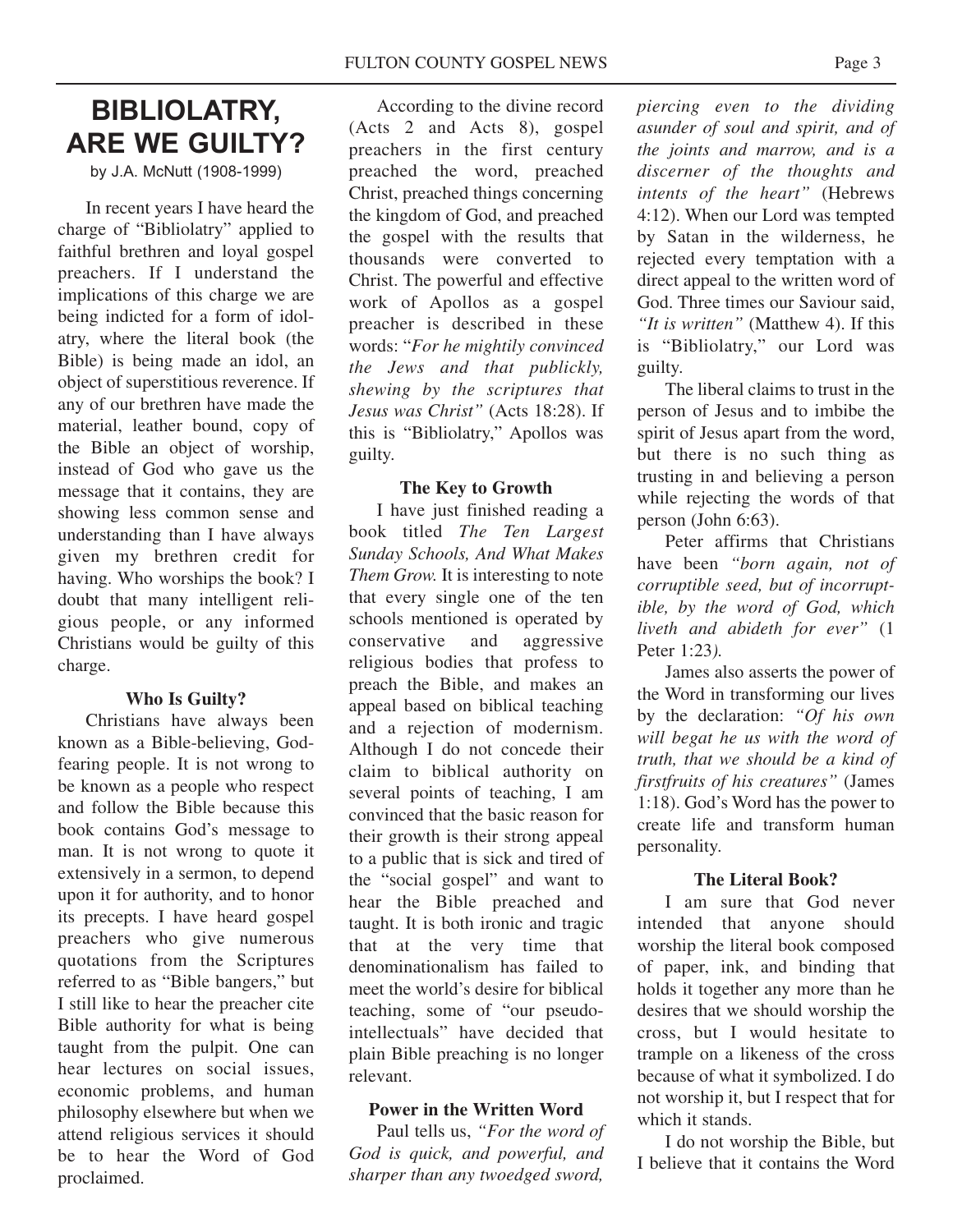## **BIBLIOLATRY, ARE WE GUILTY?**

by J.A. McNutt (1908-1999)

In recent years I have heard the charge of "Bibliolatry" applied to faithful brethren and loyal gospel preachers. If I understand the implications of this charge we are being indicted for a form of idolatry, where the literal book (the Bible) is being made an idol, an object of superstitious reverence. If any of our brethren have made the material, leather bound, copy of the Bible an object of worship, instead of God who gave us the message that it contains, they are showing less common sense and understanding than I have always given my brethren credit for having. Who worships the book? I doubt that many intelligent religious people, or any informed Christians would be guilty of this charge.

#### **Who Is Guilty?**

Christians have always been known as a Bible-believing, Godfearing people. It is not wrong to be known as a people who respect and follow the Bible because this book contains God's message to man. It is not wrong to quote it extensively in a sermon, to depend upon it for authority, and to honor its precepts. I have heard gospel preachers who give numerous quotations from the Scriptures referred to as "Bible bangers," but I still like to hear the preacher cite Bible authority for what is being taught from the pulpit. One can hear lectures on social issues, economic problems, and human philosophy elsewhere but when we attend religious services it should be to hear the Word of God proclaimed.

According to the divine record (Acts 2 and Acts 8), gospel preachers in the first century preached the word, preached Christ, preached things concerning the kingdom of God, and preached the gospel with the results that thousands were converted to Christ. The powerful and effective work of Apollos as a gospel preacher is described in these words: "*For he mightily convinced the Jews and that publickly, shewing by the scriptures that Jesus was Christ"* (Acts 18:28). If this is "Bibliolatry," Apollos was guilty.

#### **The Key to Growth**

I have just finished reading a book titled *The Ten Largest Sunday Schools, And What Makes Them Grow.* It is interesting to note that every single one of the ten schools mentioned is operated by conservative and aggressive religious bodies that profess to preach the Bible, and makes an appeal based on biblical teaching and a rejection of modernism. Although I do not concede their claim to biblical authority on several points of teaching, I am convinced that the basic reason for their growth is their strong appeal to a public that is sick and tired of the "social gospel" and want to hear the Bible preached and taught. It is both ironic and tragic that at the very time that denominationalism has failed to meet the world's desire for biblical teaching, some of "our pseudointellectuals" have decided that plain Bible preaching is no longer relevant.

#### **Power in the Written Word**

Paul tells us, *"For the word of God is quick, and powerful, and sharper than any twoedged sword,*

*piercing even to the dividing asunder of soul and spirit, and of the joints and marrow, and is a discerner of the thoughts and intents of the heart"* (Hebrews 4:12). When our Lord was tempted by Satan in the wilderness, he rejected every temptation with a direct appeal to the written word of God. Three times our Saviour said, *"It is written"* (Matthew 4). If this is "Bibliolatry," our Lord was guilty.

The liberal claims to trust in the person of Jesus and to imbibe the spirit of Jesus apart from the word, but there is no such thing as trusting in and believing a person while rejecting the words of that person (John 6:63).

Peter affirms that Christians have been *"born again, not of corruptible seed, but of incorruptible, by the word of God, which liveth and abideth for ever"* (1 Peter 1:23*).*

James also asserts the power of the Word in transforming our lives by the declaration: *"Of his own will begat he us with the word of truth, that we should be a kind of firstfruits of his creatures"* (James 1:18). God's Word has the power to create life and transform human personality.

#### **The Literal Book?**

I am sure that God never intended that anyone should worship the literal book composed of paper, ink, and binding that holds it together any more than he desires that we should worship the cross, but I would hesitate to trample on a likeness of the cross because of what it symbolized. I do not worship it, but I respect that for which it stands.

I do not worship the Bible, but I believe that it contains the Word